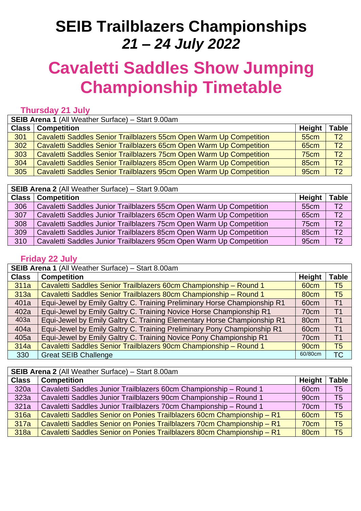## **SEIB Trailblazers Championships** *21 – 24 July 2022*

# **Cavaletti Saddles Show Jumping Championship Timetable**

#### **Thursday 21 July**

| <b>SEIB Arena 1 (All Weather Surface) - Start 9.00am</b> |                                                                     |                  |                 |
|----------------------------------------------------------|---------------------------------------------------------------------|------------------|-----------------|
|                                                          | <b>Class   Competition</b>                                          | <b>Height</b>    | Table           |
| 301                                                      | Cavaletti Saddles Senior Trailblazers 55cm Open Warm Up Competition | <b>55cm</b>      | T <sub>2</sub>  |
| 302                                                      | Cavaletti Saddles Senior Trailblazers 65cm Open Warm Up Competition | <b>65cm</b>      | T <sub>2</sub>  |
| 303                                                      | Cavaletti Saddles Senior Trailblazers 75cm Open Warm Up Competition | 75cm             | T <sub>2</sub>  |
| 304                                                      | Cavaletti Saddles Senior Trailblazers 85cm Open Warm Up Competition | <b>85cm</b>      | $\overline{12}$ |
| 305                                                      | Cavaletti Saddles Senior Trailblazers 95cm Open Warm Up Competition | 95 <sub>cm</sub> | T <sub>2</sub>  |

**SEIB Arena 2** (All Weather Surface) – Start 9.00am

| <b>Class</b> | <b>Competition</b>                                                  | Height           | <b>Table</b>   |
|--------------|---------------------------------------------------------------------|------------------|----------------|
| 306          | Cavaletti Saddles Junior Trailblazers 55cm Open Warm Up Competition | 55cm             | T <sub>2</sub> |
| 307          | Cavaletti Saddles Junior Trailblazers 65cm Open Warm Up Competition | 65 <sub>cm</sub> | T <sub>2</sub> |
| 308          | Cavaletti Saddles Junior Trailblazers 75cm Open Warm Up Competition | 75cm             | T <sub>2</sub> |
| 309          | Cavaletti Saddles Junior Trailblazers 85cm Open Warm Up Competition | 85 <sub>cm</sub> | T <sub>2</sub> |
| 310          | Cavaletti Saddles Junior Trailblazers 95cm Open Warm Up Competition | 95 <sub>cm</sub> | T2             |

#### **Friday 22 July**

**SEIB Arena 1** (All Weather Surface) – Start 8.00am

| <b>Class</b> | <b>Competition</b>                                                       | <b>Height</b>    | <b>Table</b>   |
|--------------|--------------------------------------------------------------------------|------------------|----------------|
| 311a         | Cavaletti Saddles Senior Trailblazers 60cm Championship - Round 1        | 60 <sub>cm</sub> | T <sub>5</sub> |
| 313a         | Cavaletti Saddles Senior Trailblazers 80cm Championship - Round 1        | 80cm             | T <sub>5</sub> |
| 401a         | Equi-Jewel by Emily Galtry C. Training Preliminary Horse Championship R1 | 60cm             | T <sub>1</sub> |
| 402a         | Equi-Jewel by Emily Galtry C. Training Novice Horse Championship R1      | 70cm             | T <sub>1</sub> |
| 403a         | Equi-Jewel by Emily Galtry C. Training Elementary Horse Championship R1  | 80cm             | T <sub>1</sub> |
| 404a         | Equi-Jewel by Emily Galtry C. Training Preliminary Pony Championship R1  | 60cm             | T <sub>1</sub> |
| 405a         | Equi-Jewel by Emily Galtry C. Training Novice Pony Championship R1       | 70cm             | T <sub>1</sub> |
| 314a         | Cavaletti Saddles Senior Trailblazers 90cm Championship - Round 1        | 90cm             | T <sub>5</sub> |
| 330          | <b>Great SEIB Challenge</b>                                              | 60/80cm          | <b>TC</b>      |

**SEIB Arena 2** (All Weather Surface) – Start 8.00am

| <b>Class</b> | <b>Competition</b>                                                     | <b>Height</b>    | <b>Table</b>    |  |
|--------------|------------------------------------------------------------------------|------------------|-----------------|--|
| 320a         | Cavaletti Saddles Junior Trailblazers 60cm Championship - Round 1      | 60cm             | T <sub>5</sub>  |  |
| 323a         | Cavaletti Saddles Junior Trailblazers 90cm Championship - Round 1      | 90cm             | T <sub>5</sub>  |  |
| 321a         | Cavaletti Saddles Junior Trailblazers 70cm Championship - Round 1      | 70cm             | T <sub>5</sub>  |  |
| 316a         | Cavaletti Saddles Senior on Ponies Trailblazers 60cm Championship - R1 | 60 <sub>cm</sub> | $\overline{75}$ |  |
| 317a         | Cavaletti Saddles Senior on Ponies Trailblazers 70cm Championship - R1 | 70cm             | T <sub>5</sub>  |  |
| 318a         | Cavaletti Saddles Senior on Ponies Trailblazers 80cm Championship - R1 | 80cm             | T <sub>5</sub>  |  |